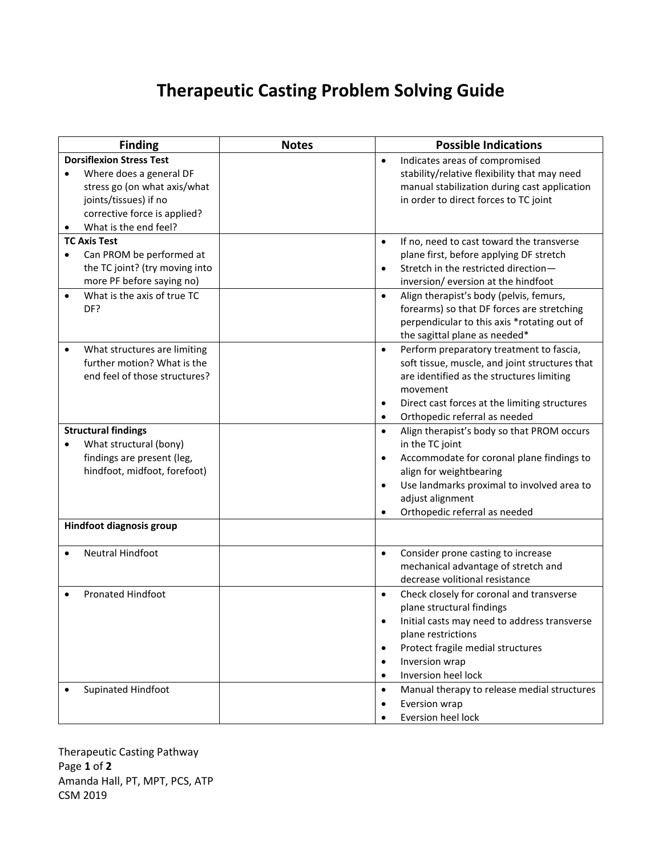## **Therapeutic Casting Problem Solving Guide**

| <b>Finding</b>                                                                                                                                                               | <b>Notes</b> | <b>Possible Indications</b>                                                                                                                                                                                                                                                                                                                            |
|------------------------------------------------------------------------------------------------------------------------------------------------------------------------------|--------------|--------------------------------------------------------------------------------------------------------------------------------------------------------------------------------------------------------------------------------------------------------------------------------------------------------------------------------------------------------|
| <b>Dorsiflexion Stress Test</b><br>Where does a general DF<br>stress go (on what axis/what<br>joints/tissues) if no<br>corrective force is applied?<br>What is the end feel? |              | Indicates areas of compromised<br>$\bullet$<br>stability/relative flexibility that may need<br>manual stabilization during cast application<br>in order to direct forces to TC joint                                                                                                                                                                   |
| <b>TC Axis Test</b><br>Can PROM be performed at<br>$\bullet$<br>the TC joint? (try moving into<br>more PF before saying no)<br>What is the axis of true TC<br>DF?            |              | If no, need to cast toward the transverse<br>$\bullet$<br>plane first, before applying DF stretch<br>Stretch in the restricted direction-<br>$\bullet$<br>inversion/ eversion at the hindfoot<br>Align therapist's body (pelvis, femurs,<br>$\bullet$<br>forearms) so that DF forces are stretching<br>perpendicular to this axis *rotating out of     |
| What structures are limiting<br>further motion? What is the<br>end feel of those structures?                                                                                 |              | the sagittal plane as needed*<br>Perform preparatory treatment to fascia,<br>$\bullet$<br>soft tissue, muscle, and joint structures that<br>are identified as the structures limiting<br>movement<br>Direct cast forces at the limiting structures<br>$\bullet$<br>Orthopedic referral as needed<br>$\bullet$                                          |
| <b>Structural findings</b><br>What structural (bony)<br>findings are present (leg,<br>hindfoot, midfoot, forefoot)                                                           |              | Align therapist's body so that PROM occurs<br>$\bullet$<br>in the TC joint<br>Accommodate for coronal plane findings to<br>$\bullet$<br>align for weightbearing<br>Use landmarks proximal to involved area to<br>$\bullet$<br>adjust alignment<br>Orthopedic referral as needed<br>$\bullet$                                                           |
| Hindfoot diagnosis group                                                                                                                                                     |              |                                                                                                                                                                                                                                                                                                                                                        |
| Neutral Hindfoot                                                                                                                                                             |              | Consider prone casting to increase<br>$\bullet$<br>mechanical advantage of stretch and<br>decrease volitional resistance                                                                                                                                                                                                                               |
| <b>Pronated Hindfoot</b><br>Supinated Hindfoot                                                                                                                               |              | Check closely for coronal and transverse<br>$\bullet$<br>plane structural findings<br>$\bullet$<br>Initial casts may need to address transverse<br>plane restrictions<br>Protect fragile medial structures<br>$\bullet$<br>Inversion wrap<br>$\bullet$<br>Inversion heel lock<br>$\bullet$<br>Manual therapy to release medial structures<br>$\bullet$ |
|                                                                                                                                                                              |              | Eversion wrap<br>$\bullet$<br>Eversion heel lock                                                                                                                                                                                                                                                                                                       |

Therapeutic Casting Pathway Page **1** of **2** Amanda Hall, PT, MPT, PCS, ATP CSM 2019